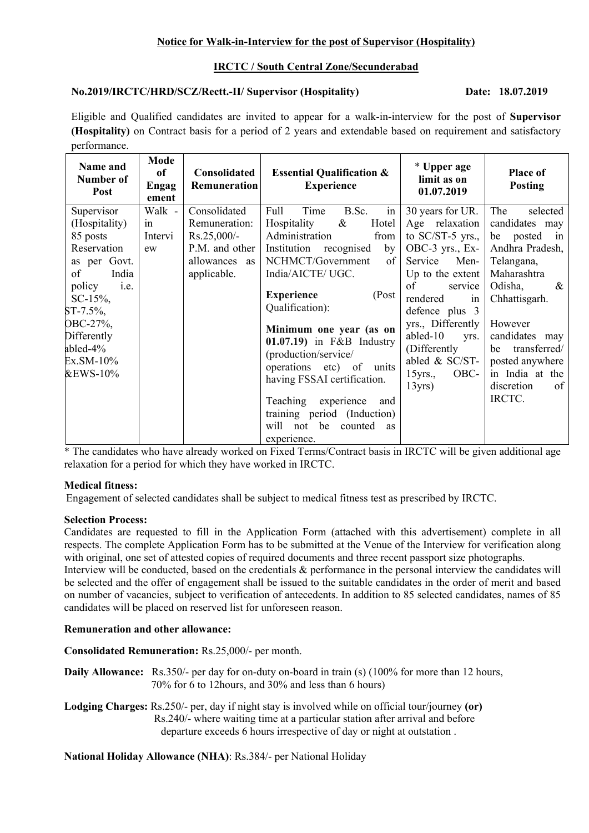## **Notice for Walk-in-Interview for the post of Supervisor (Hospitality)**

# **IRCTC / South Central Zone/Secunderabad**

# **No.2019/IRCTC/HRD/SCZ/Rectt.-II/ Supervisor (Hospitality) Date: 18.07.2019**

Eligible and Qualified candidates are invited to appear for a walk-in-interview for the post of **Supervisor (Hospitality)** on Contract basis for a period of 2 years and extendable based on requirement and satisfactory performance.

| Name and<br>Number of<br>Post                                                                                                                                                                                        | Mode<br>of<br><b>Engag</b><br>ement | Consolidated<br>Remuneration                                                                     | <b>Essential Qualification &amp;</b><br><b>Experience</b>                                                                                                                                                                                                                                                                                                                                                                                                                               | * Upper age<br>limit as on<br>01.07.2019                                                                                                                                                                                                                                                    | Place of<br><b>Posting</b>                                                                                                                                                                                                                                      |
|----------------------------------------------------------------------------------------------------------------------------------------------------------------------------------------------------------------------|-------------------------------------|--------------------------------------------------------------------------------------------------|-----------------------------------------------------------------------------------------------------------------------------------------------------------------------------------------------------------------------------------------------------------------------------------------------------------------------------------------------------------------------------------------------------------------------------------------------------------------------------------------|---------------------------------------------------------------------------------------------------------------------------------------------------------------------------------------------------------------------------------------------------------------------------------------------|-----------------------------------------------------------------------------------------------------------------------------------------------------------------------------------------------------------------------------------------------------------------|
| Supervisor<br>(Hospitality)<br>85 posts<br>Reservation<br>as per Govt.<br>of<br>India<br>policy<br>i.e.<br>$SC-15\%,$<br>$ST-7.5\%$ ,<br>OBC-27%,<br>Differently<br>abled- $4\%$<br>Ex.SM-10%<br><b>&amp;EWS-10%</b> | Walk -<br>in<br>Intervi<br>ew       | Consolidated<br>Remuneration:<br>$Rs.25,000/-$<br>P.M. and other<br>allowances as<br>applicable. | in<br>Full<br>Time<br>B.Sc.<br>Hospitality<br>Hotel<br>$\&$<br>Administration<br>from<br>Institution<br>recognised<br>by<br>NCHMCT/Government<br>of<br>India/AICTE/ UGC.<br><b>Experience</b><br>(Post<br>Qualification):<br>Minimum one year (as on<br>$01.07.19$ in F&B Industry<br>(production/service/<br>operations etc) of<br>units<br>having FSSAI certification.<br>Teaching<br>experience<br>and<br>training period (Induction)<br>will not be<br>counted<br>as<br>experience. | 30 years for UR.<br>Age relaxation<br>to $SC/ST-5$ yrs.,<br>OBC-3 yrs., Ex-<br>Service<br>Men-<br>Up to the extent<br>of<br>service<br>rendered<br>in<br>defence plus 3<br>yrs., Differently<br>abled-10<br>yrs.<br>(Differently)<br>abled & SC/ST-<br>OBC-<br>$15$ yrs.,<br>$13\gamma$ rs) | The<br>selected<br>candidates may<br>be posted<br>in<br>Andhra Pradesh,<br>Telangana,<br>Maharashtra<br>Odisha,<br>$\&$<br>Chhattisgarh.<br>However<br>candidates may<br>transferred/<br>be<br>posted anywhere<br>in India at the<br>discretion<br>of<br>IRCTC. |

\* The candidates who have already worked on Fixed Terms/Contract basis in IRCTC will be given additional age relaxation for a period for which they have worked in IRCTC.

### **Medical fitness:**

Engagement of selected candidates shall be subject to medical fitness test as prescribed by IRCTC.

### **Selection Process:**

Candidates are requested to fill in the Application Form (attached with this advertisement) complete in all respects. The complete Application Form has to be submitted at the Venue of the Interview for verification along with original, one set of attested copies of required documents and three recent passport size photographs.

Interview will be conducted, based on the credentials & performance in the personal interview the candidates will be selected and the offer of engagement shall be issued to the suitable candidates in the order of merit and based on number of vacancies, subject to verification of antecedents. In addition to 85 selected candidates, names of 85 candidates will be placed on reserved list for unforeseen reason.

### **Remuneration and other allowance:**

**Consolidated Remuneration:** Rs.25,000/- per month.

**Daily Allowance:** Rs.350/- per day for on-duty on-board in train (s) (100% for more than 12 hours, 70% for 6 to 12hours, and 30% and less than 6 hours)

**Lodging Charges:** Rs.250/- per, day if night stay is involved while on official tour/journey **(or)** Rs.240/- where waiting time at a particular station after arrival and before departure exceeds 6 hours irrespective of day or night at outstation .

**National Holiday Allowance (NHA)**: Rs.384/- per National Holiday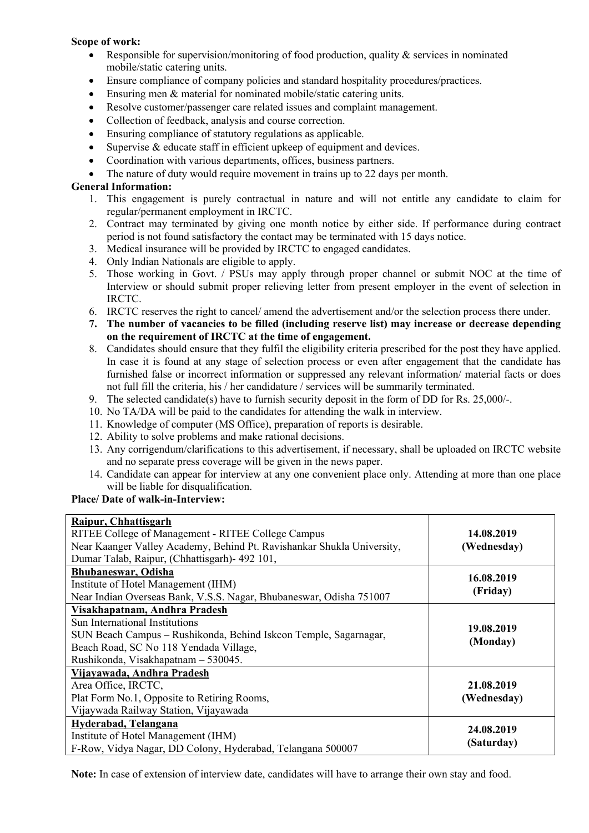# **Scope of work:**

- **•** Responsible for supervision/monitoring of food production, quality  $\&$  services in nominated mobile/static catering units.
- Ensure compliance of company policies and standard hospitality procedures/practices.
- Ensuring men & material for nominated mobile/static catering units.
- Resolve customer/passenger care related issues and complaint management.
- Collection of feedback, analysis and course correction.
- Ensuring compliance of statutory regulations as applicable.
- Supervise & educate staff in efficient upkeep of equipment and devices.
- Coordination with various departments, offices, business partners.
- The nature of duty would require movement in trains up to 22 days per month.

## **General Information:**

- 1. This engagement is purely contractual in nature and will not entitle any candidate to claim for regular/permanent employment in IRCTC.
- 2. Contract may terminated by giving one month notice by either side. If performance during contract period is not found satisfactory the contact may be terminated with 15 days notice.
- 3. Medical insurance will be provided by IRCTC to engaged candidates.
- 4. Only Indian Nationals are eligible to apply.
- 5. Those working in Govt. / PSUs may apply through proper channel or submit NOC at the time of Interview or should submit proper relieving letter from present employer in the event of selection in IRCTC.
- 6. IRCTC reserves the right to cancel/ amend the advertisement and/or the selection process there under.
- **7. The number of vacancies to be filled (including reserve list) may increase or decrease depending on the requirement of IRCTC at the time of engagement.**
- 8. Candidates should ensure that they fulfil the eligibility criteria prescribed for the post they have applied. In case it is found at any stage of selection process or even after engagement that the candidate has furnished false or incorrect information or suppressed any relevant information/ material facts or does not full fill the criteria, his / her candidature / services will be summarily terminated.
- 9. The selected candidate(s) have to furnish security deposit in the form of DD for Rs. 25,000/-.
- 10. No TA/DA will be paid to the candidates for attending the walk in interview.
- 11. Knowledge of computer (MS Office), preparation of reports is desirable.
- 12. Ability to solve problems and make rational decisions.
- 13. Any corrigendum/clarifications to this advertisement, if necessary, shall be uploaded on IRCTC website and no separate press coverage will be given in the news paper.
- 14. Candidate can appear for interview at any one convenient place only. Attending at more than one place will be liable for disqualification.

# **Place/ Date of walk-in-Interview:**

| Raipur, Chhattisgarh                                                   |                        |  |  |
|------------------------------------------------------------------------|------------------------|--|--|
| RITEE College of Management - RITEE College Campus                     | 14.08.2019             |  |  |
| Near Kaanger Valley Academy, Behind Pt. Ravishankar Shukla University, | (Wednesday)            |  |  |
| Dumar Talab, Raipur, (Chhattisgarh) - 492 101,                         |                        |  |  |
| <b>Bhubaneswar, Odisha</b>                                             | 16.08.2019<br>(Friday) |  |  |
| Institute of Hotel Management (IHM)                                    |                        |  |  |
| Near Indian Overseas Bank, V.S.S. Nagar, Bhubaneswar, Odisha 751007    |                        |  |  |
| Visakhapatnam, Andhra Pradesh                                          |                        |  |  |
| Sun International Institutions                                         | 19.08.2019             |  |  |
| SUN Beach Campus – Rushikonda, Behind Iskcon Temple, Sagarnagar,       |                        |  |  |
| Beach Road, SC No 118 Yendada Village,                                 | (Monday)               |  |  |
| Rushikonda, Visakhapatnam - 530045.                                    |                        |  |  |
| Vijayawada, Andhra Pradesh                                             |                        |  |  |
| Area Office, IRCTC,                                                    | 21.08.2019             |  |  |
| Plat Form No.1, Opposite to Retiring Rooms,                            | (Wednesday)            |  |  |
| Vijaywada Railway Station, Vijayawada                                  |                        |  |  |
| Hyderabad, Telangana                                                   | 24.08.2019             |  |  |
| Institute of Hotel Management (IHM)                                    |                        |  |  |
| F-Row, Vidya Nagar, DD Colony, Hyderabad, Telangana 500007             | (Saturday)             |  |  |

**Note:** In case of extension of interview date, candidates will have to arrange their own stay and food.